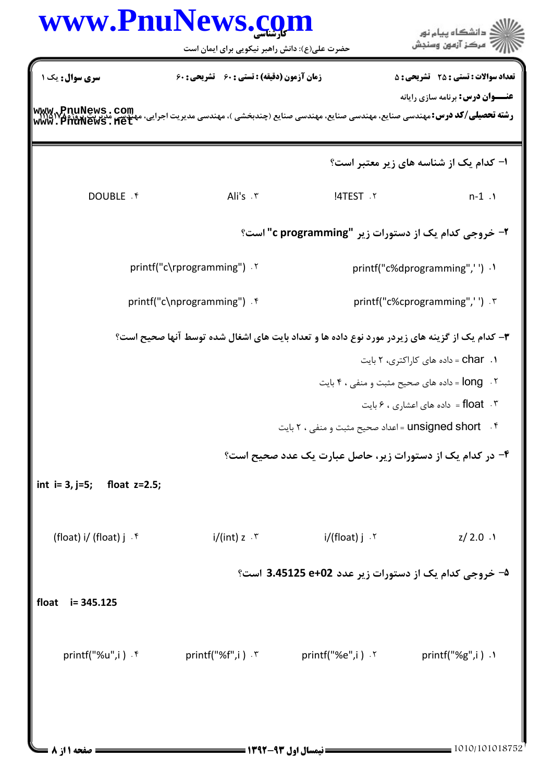| زمان آزمون (دقیقه) : تستی : 60 تشریحی : 60                                              |                                                                                                                                                                               |                                                                                                                                                                                                                                                                                                                                                                             |  |
|-----------------------------------------------------------------------------------------|-------------------------------------------------------------------------------------------------------------------------------------------------------------------------------|-----------------------------------------------------------------------------------------------------------------------------------------------------------------------------------------------------------------------------------------------------------------------------------------------------------------------------------------------------------------------------|--|
|                                                                                         | <b>www, PnuNews . com</b><br>Willa Wasiye : <b>سته تحصیلی/کد درس:</b> مهندسی صنایع، مهندسی صنایع (چندبخشی )، مهندسی مدیریت اجرایی، میلیسی مدنریت پروژه<br>www . PnuNews . het | <b>تعداد سوالات : تستی : 25 ۔ تشریحی : 5</b><br><b>عنـــوان درس:</b> برنامه سازی رایانه                                                                                                                                                                                                                                                                                     |  |
|                                                                                         |                                                                                                                                                                               | ا- کدام یک از شناسه های زیر معتبر است؟                                                                                                                                                                                                                                                                                                                                      |  |
| Ali's . ٣                                                                               | <b>!4TEST .Y</b>                                                                                                                                                              | $n-1.1$                                                                                                                                                                                                                                                                                                                                                                     |  |
|                                                                                         |                                                                                                                                                                               |                                                                                                                                                                                                                                                                                                                                                                             |  |
|                                                                                         |                                                                                                                                                                               | printf("c%dprogramming",'') .1                                                                                                                                                                                                                                                                                                                                              |  |
|                                                                                         |                                                                                                                                                                               | printf("c%cprogramming",'') . ٣                                                                                                                                                                                                                                                                                                                                             |  |
|                                                                                         |                                                                                                                                                                               | <b>char</b> . ۱ - داده های کاراکتری، ۲ بایت<br>۰۳ . float = داده های اعشاری ، ۶ بایت                                                                                                                                                                                                                                                                                        |  |
| $i/(int) z \cdot r$                                                                     | i/(float) j   .۲                                                                                                                                                              | $Z/2.0$ .1                                                                                                                                                                                                                                                                                                                                                                  |  |
| <sup>4−</sup> خروجی کدام یک از دستورات زیر عدد 3.45125 e+02 است؟<br>float<br>i= 345.125 |                                                                                                                                                                               |                                                                                                                                                                                                                                                                                                                                                                             |  |
|                                                                                         |                                                                                                                                                                               |                                                                                                                                                                                                                                                                                                                                                                             |  |
|                                                                                         |                                                                                                                                                                               | printf("%g",i) $\cdot$                                                                                                                                                                                                                                                                                                                                                      |  |
|                                                                                         | printf("c\rprogramming") . ٢<br>printf("c\nprogramming") . f                                                                                                                  | ۲- خروجی کدام یک از دستورات زیر "c programming" است؟<br>۳- کدام یک از گزینه های زیردر مورد نوع داده ها و تعداد بایت های اشغال شده توسط آنها صحیح است؟<br>۰۲ . long = داده های صحیح مثبت و منفی ، ۴ بایت<br>unsigned short . ۴ - اعداد صحیح مثبت و منفی ، ۲ بایت<br>۴- در کدام یک از دستورات زیر، حاصل عبارت یک عدد صحیح است؟<br>$print(f("%f", i) \cdot Y$ printf("%e",i) ' |  |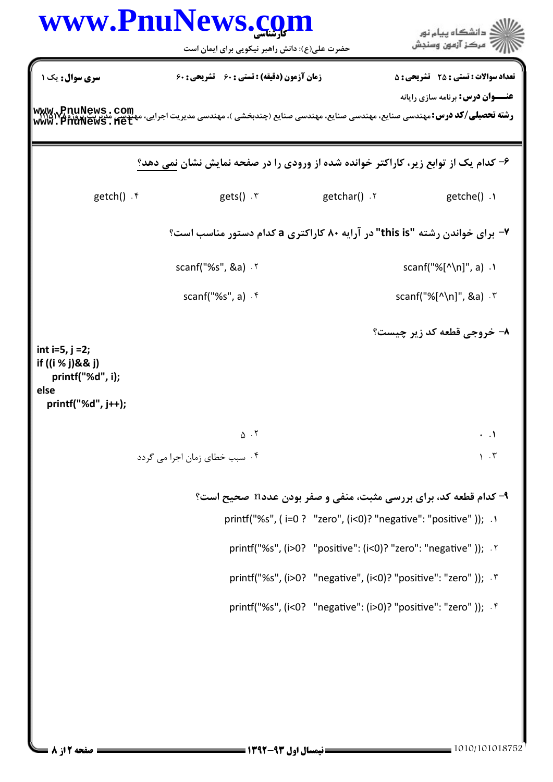|                                                                                           | www.PnuNews.com                                                                                                                              |              | د دانشگاه پيام نور<br>" مرڪز آزمون وسنڊش                                  |
|-------------------------------------------------------------------------------------------|----------------------------------------------------------------------------------------------------------------------------------------------|--------------|---------------------------------------------------------------------------|
|                                                                                           | حضرت علی(ع): دانش راهبر نیکویی برای ایمان است                                                                                                |              |                                                                           |
| سری سوال : یک ۱                                                                           | زمان آزمون (دقیقه) : تستی : 60 تشریحی : 60                                                                                                   |              | <b>تعداد سوالات : تستی : 25 گشریحی : 5</b>                                |
|                                                                                           | ر <b>شته تحصیلی/کد درس: م</b> هندسی صنایع، مهندسی صنایع، مهندسی صنایع (چندبخشی )، مهندسی مدیریت اجرایی، مهندسی میرین<br>WWW . PIIUNeWS . Het |              | <b>عنـــوان درس:</b> برنامه سازی رایانه                                   |
|                                                                                           | ۶- کدام یک از توابع زیر، کاراکتر خوانده شده از ورودی را در صفحه نمایش نشان نمی دهد؟                                                          |              |                                                                           |
| $getch() \cdot$ *                                                                         | $gets()$ .                                                                                                                                   | r. ()getchar | $getche()$ .                                                              |
|                                                                                           | ۷- برای خواندن رشته "this is" در آرایه ۸۰ کاراکتری a کدام دستور مناسب است؟                                                                   |              |                                                                           |
|                                                                                           | scanf("%s", &a) . ٢                                                                                                                          |              | scanf("%[ $^{\prime}$ \n]", a) .                                          |
|                                                                                           | scanf("%s", a) $\cdot$ $\uparrow$                                                                                                            |              | scanf("%[^\n]", &a) $\cdot$ $\cdot$                                       |
| int $i=5$ , $j=2$ ;<br>if ((i % j)&& j)<br>printf("%d", i);<br>else<br>printf("%d", j++); |                                                                                                                                              |              | ٨- خروجي قطعه کد زير چيست؟                                                |
|                                                                                           | $\Delta$ . T                                                                                                                                 |              | $\cdot$ .                                                                 |
|                                                                                           | ۰۴ سبب خطای زمان اجرا می گردد                                                                                                                |              | $\lambda$ . $\tau$                                                        |
|                                                                                           |                                                                                                                                              |              | ۹- کدام قطعه کد، برای بررسی مثبت، منفی و صفر بودن عدد <b>n صحیح است</b> ؟ |
|                                                                                           |                                                                                                                                              |              | printf("%s", (i=0 ? "zero", (i<0)? "negative": "positive" )); .1          |
|                                                                                           |                                                                                                                                              |              | printf("%s", (i>0? "positive": (i<0)? "zero": "negative" )); '            |
|                                                                                           |                                                                                                                                              |              | printf("%s", (i>0? "negative", (i<0)? "positive": "zero")); '*            |
|                                                                                           |                                                                                                                                              |              | printf("%s", (i<0? "negative": (i>0)? "positive": "zero" )); . f          |
|                                                                                           |                                                                                                                                              |              |                                                                           |
|                                                                                           |                                                                                                                                              |              |                                                                           |
| صفحه 212 8                                                                                |                                                                                                                                              |              | 1010/101018752                                                            |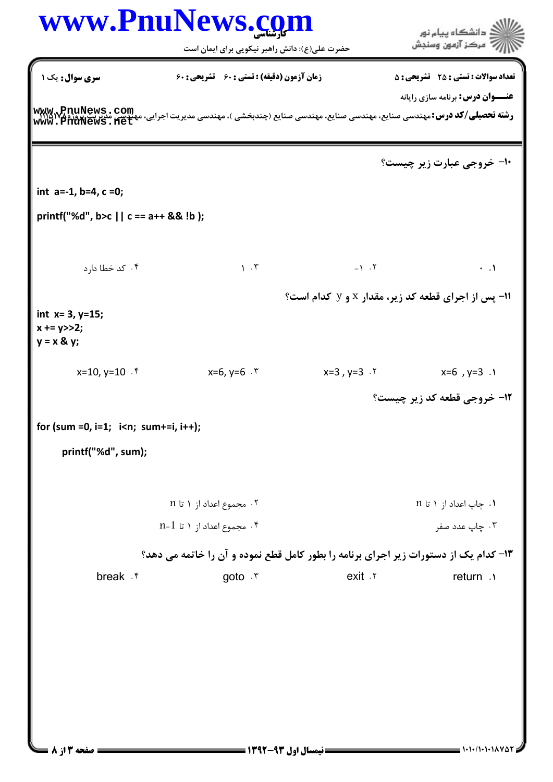## كارشناسي **[www.PnuNews.com](http://www.PnuNews.com)** .<br>گ دانشگاه پیام نور ۔<br>\* مرڪز آزمون وسنڊش حضرت علي(ع): دانش راهبر نيكويي براي ايمان است نعداد سوالات : تستي : 25 تشريحي : 58 زمان آزمون (دقيقه) : تستي : 60 تشريحي : 60 ت **عنـــوان درس:** برنامه سازی رایانه ر**شته تحصيلي/كد درس:** مهندسي صنايع، مهندسي صنايع، مهندسي صنايع (چندبخشي )، مهندسي مديريت اجرايي، مهندسي مديريت پورژم<br>ر**شته تحصيلي/كد درس:** مهندسي صنايع، مهندسي صنايع، مهندسي صنايع (چندبخشي )، مهندسي مديريت اجرايي، مهندسي **[www.PnuNews.net](http://pnunews.net)**∙ا− خروجی عبارت زیر چیست؟ int a=‐1, b=4, c =0; printf("%d", b>c || c == a++ && !b ); 0 -1 1 كد خطا دارد " . . . .  $\lambda$ .  $\tau$ 11- پس از اجرای قطعه کد زیر، مقدار x و y کدام است؟ int  $x=3$ ,  $y=15$ ;  $x + y >> 2;$  $y = x \& y;$  $x=10, y=10$   $\cdot$  f  $x=6, y=6$   $\cdot$  f x=10, y=10 x=6, y=6 x=3 , y=3 x=6 , y=3 " . . . . **۱۲- خروجی قطعه کد زیر چیست؟** for (sum =0, i=1; i<n; sum+=i, i++); printf("%d", sum); n مجموع اعداد از  $n$  تا  $n$  n " . . ۰۴ چاپ عدد صفر مستقر است. است که به این مستقر است که است که است که است که است که است که است که است ک n-1 مجموع اعداد از  $1 \text{ u}$  1 $\cdot$ ۴ ۱۳- کدام یک از دستورات زیر اجرای برنامه را بطور کامل قطع نموده و آن را خاتمه می دهد؟ break f contract of the goto r contract exit return exit v return . -. . . .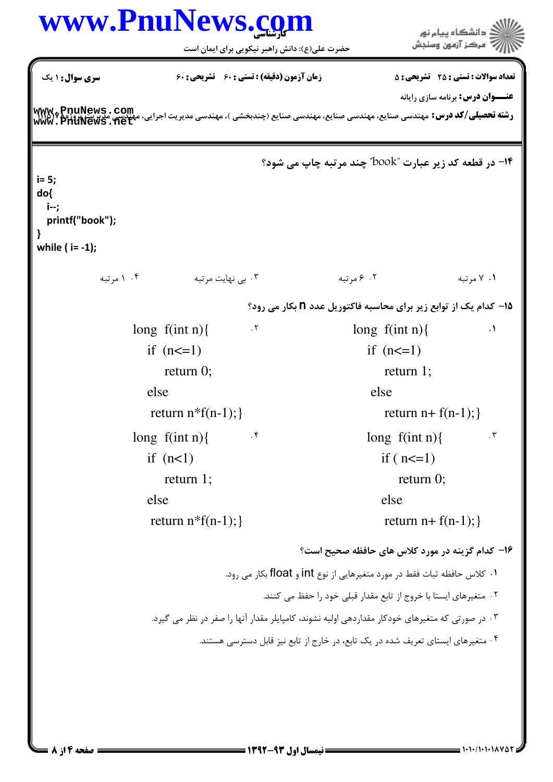| www.PnuNews.com<br>≦  دانشگاه پيام نور |                                                                                                 |                                                                                                                                                                                  |                                                 |                                              |
|----------------------------------------|-------------------------------------------------------------------------------------------------|----------------------------------------------------------------------------------------------------------------------------------------------------------------------------------|-------------------------------------------------|----------------------------------------------|
|                                        |                                                                                                 | حضرت علی(ع): دانش راهبر نیکویی برای ایمان است                                                                                                                                    | 7' مرڪز آزمون وسنڊش                             |                                              |
| <b>سری سوال :</b> ۱ یک                 |                                                                                                 | <b>زمان آزمون (دقیقه) : تستی : 60 گشریحی: 60</b>                                                                                                                                 |                                                 | <b>تعداد سوالات : تستي : 25 ٪ تشريحي : 5</b> |
|                                        |                                                                                                 |                                                                                                                                                                                  |                                                 | <b>عنـــوان درس:</b> برنامه سازی رایانه      |
|                                        |                                                                                                 | ر <b>شته تحصیلی/کد درس:</b> مهندسی صنایع، مهندسی صنایع، مهندسی صنایع (چندبخشی )، مهندسی مدیریت اجرایی، میگیری می WWM و PnuNews<br>  WWW . PnuNews . net<br>  WWW . PnuNews . net |                                                 |                                              |
|                                        |                                                                                                 | <b>۱۴- در قطعه کد زیر عبارت "book" چند مرتبه چاپ می شود؟</b>                                                                                                                     |                                                 |                                              |
| $i = 5;$                               |                                                                                                 |                                                                                                                                                                                  |                                                 |                                              |
| do{<br>i--;                            |                                                                                                 |                                                                                                                                                                                  |                                                 |                                              |
| printf("book");                        |                                                                                                 |                                                                                                                                                                                  |                                                 |                                              |
| while $(i = -1);$                      |                                                                                                 |                                                                                                                                                                                  |                                                 |                                              |
| ۰۴ (مرتبه                              | ۰۳ بی نهایت مرتبه                                                                               | ۰۲ ۶ مرتبه                                                                                                                                                                       |                                                 | ۰۱ ۷ مرتبه                                   |
|                                        |                                                                                                 | ۱۵− کدام یک از توابع زیر برای محاسبه فاکتوریل عدد <b>n</b> بکار می رود؟                                                                                                          |                                                 |                                              |
|                                        | long $f(int n)$                                                                                 | .7                                                                                                                                                                               | long $f(int n)$                                 | $\cdot$                                      |
|                                        | if $(n<=1)$                                                                                     |                                                                                                                                                                                  | if $(n<=1)$                                     |                                              |
|                                        | return $0$ ;                                                                                    |                                                                                                                                                                                  | return $1$ ;                                    |                                              |
|                                        | else                                                                                            |                                                                                                                                                                                  | else                                            |                                              |
|                                        | return $n * f(n-1);$                                                                            |                                                                                                                                                                                  | return $n+ f(n-1);$                             |                                              |
|                                        | long $f(int n)$                                                                                 | $\cdot$ ۴                                                                                                                                                                        | long $f(int n)$                                 | $\cdot$ ٣                                    |
|                                        | if $(n<1)$                                                                                      |                                                                                                                                                                                  | if $(n \leq 1)$                                 |                                              |
|                                        | return $1$ ;                                                                                    |                                                                                                                                                                                  | return $0$ ;                                    |                                              |
|                                        | else                                                                                            |                                                                                                                                                                                  | else                                            |                                              |
|                                        | return $n * f(n-1);$                                                                            |                                                                                                                                                                                  | return $n+f(n-1);$                              |                                              |
|                                        |                                                                                                 |                                                                                                                                                                                  | ۱۶– کدام گزینه در مورد کلاس های حافظه صحیح است؟ |                                              |
|                                        |                                                                                                 | ۰۱ كلاس حافظه ثبات فقط در مورد متغيرهايي از نوع int و float بكار مي رود.                                                                                                         |                                                 |                                              |
|                                        |                                                                                                 | ۰۲ متغیرهای ایستا با خروج از تابع مقدار قبلی خود را حفظ می کنند.                                                                                                                 |                                                 |                                              |
|                                        | ۰۳ در صورتی که متغیرهای خودکار مقداردهی اولیه نشوند، کامپایلر مقدار آنها را صفر در نظر می گیرد. |                                                                                                                                                                                  |                                                 |                                              |
|                                        | ۰۴ متغیرهای ایستای تعریف شده در یک تابع، در خارج از تابع نیز قابل دسترسی هستند.                 |                                                                                                                                                                                  |                                                 |                                              |
|                                        |                                                                                                 |                                                                                                                                                                                  |                                                 |                                              |
|                                        |                                                                                                 |                                                                                                                                                                                  |                                                 |                                              |
|                                        |                                                                                                 |                                                                                                                                                                                  |                                                 |                                              |
|                                        |                                                                                                 |                                                                                                                                                                                  |                                                 |                                              |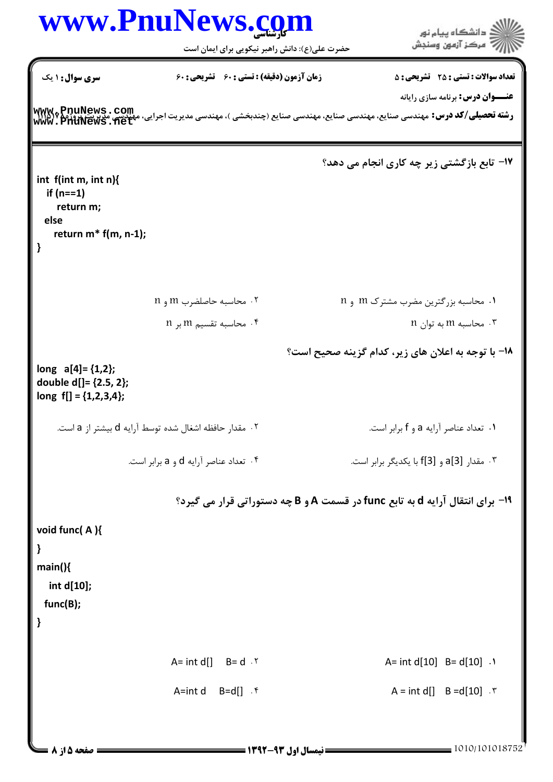## كارشناسي **[www.PnuNews.com](http://www.PnuNews.com)** ا<br>آگ دانشڪاه پيام نور<br>آگ مرڪز آزمون وسنڊش حضرت علي(ع): دانش راهبر نيكويي براي ايمان است نعداد سوالات : تستي : 25 تشريحي : 58 زمان آزمون (دقيقه) : تستي : 60 تشريحي : 60 ت **عنـــوان درس:** برنامه سازی رایانه ر**شته تحصيلي/كد درس:** مهندسي صنايع، مهندسي صنايع، مهندسي صنايع (چندبخشي )، مهندسي مديريت اجرايي، مهندسي مديريتزوروج<br>ر**شته تحصيلي/كد درس:** مهندسي صنايع، مهندسي صنايع، مهندسي صنايع (چندبخشي )، مهندسي مديريت اجرايي، مهندسي م **[www.PnuNews.net](http://pnunews.net)**17- تابع بازگشتی زیر چه کاری انجام می دهد؟ int f(int m, int n){ if (n==1) return m; else return m\* f(m, n‐1); } n محاسبه حاصلضرب  $m \in \{1, 2, \ldots\}$  n 7 m -./ 01 2).34, &5 " . . n محاسبه تقسیم $m \neq$  بر  $\zeta$  n 
 &, m &5 - . . ۱۸− با توجه به اعلان های زیر، کدام گزینه صحیح است؟ long  $a[4] = \{1,2\}$ ; double d[]= {2.5, 2}; long  $f[] = \{1,2,3,4\};$ ۰. تعداد عناصر آرايه a و f برابر است. ۰۲ مقدار حافظه اشغال شده توسط آرايه d بيشتر از a است. .( ,, a 7 d &)3> "? @ .( ,, H)I) , f[3] 7 a[3] 3= - . . <sup>19</sup>- برای انتقال آرایه d به تابع func در قسمت A و B چه دستوراتی قرار می گیرد؟ void func( A ){ } main(){ int d[10]; func(B); } A= int d[]  $B = d \cdot 5$  A= int d[10]  $B = d[10] \cdot 5$  $A = int d[] B = d[10]$ . \*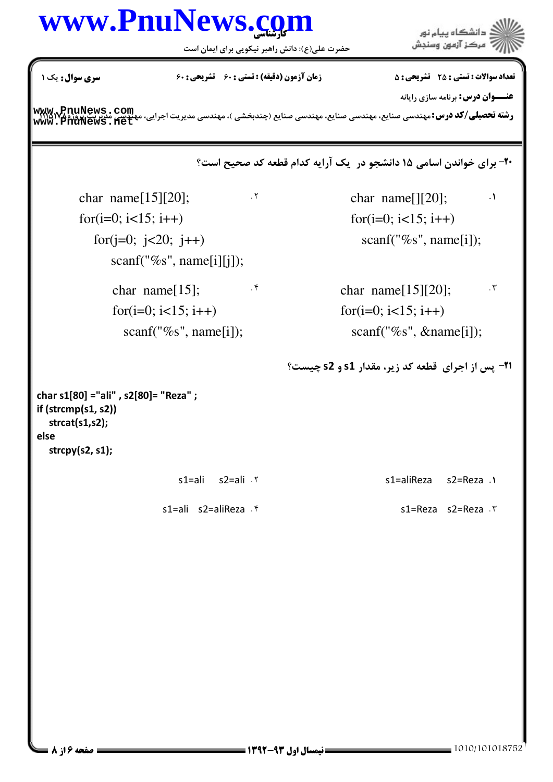## كارشناسي **[www.PnuNews.com](http://www.PnuNews.com)**

حضرت علي(ع): دانش راهبر نيكويي براي ايمان است

.<br>دانشگاه پيام نور<br>مرکز آزمون وسنجش

**عنـــوان درس:** برنامه سازی رایانه

ر**شته تحصيلي/كد درس:** مهندسي صنايع، مهندسي صنايع، مهندسي صنايع (چندبخشي )، مهندسي مديريت اجرايي، مهندسي مديريت پورژم<br>ر**شته تحصيلي/كد درس:** مهندسي صنايع، مهندسي صنايع، مهندسي صنايع (چندبخشي )، مهندسي مديريت اجرايي، مهندسي **[www.PnuNews.net](http://pnunews.net)**

۲۰- برای خواندن اسامی ۱۵ دانشجو در یک آرایه کدام قطعه کد صحیح است؟

 $\therefore$  char name[][20];  $\therefore$ for( $i=0$ ;  $i<15$ ;  $i++$ ) scanf("%s", name[i]);

 $\cdot$ <sup>f</sup> char name[15][20];  $\cdot$ <sup>r</sup> for( $i=0$ ;  $i<15$ ;  $i++$ ) scanf("%s", &name[i]);  $\cdot$   $\mathsf{r}$ 

**۲۱**- پس از اجرای قطعه کد زیر، مقدار s1 و s2 چیست؟

```
char s1[80] ="ali" , s2[80]= "Reza" ;
if (strcmp(s1, s2))
   strcat(s1,s2);
else
   strcpy(s2, s1);
```
char name $[15][20]$ ;

for( $i=0$ ;  $i<15$ ;  $i++$ )

for( $j=0$ ;  $j<20$ ;  $j++$ )

char name[15];

for( $i=0$ ;  $i<15$ ;  $i++$ )

scanf("%s", name[i][j]);

scanf("%s", name[i]);

s1=ali s2=ali s1=aliReza s2=Reza " . .

s1=ali s2=aliReza  $\cdot$ .۴ s1=Reza s2=Reza ۲

نعداد سوالات : تستي : 25 تشريحي : 58 زمان آزمون (دقيقه) : تستي : 60 تشريحي : 60 ت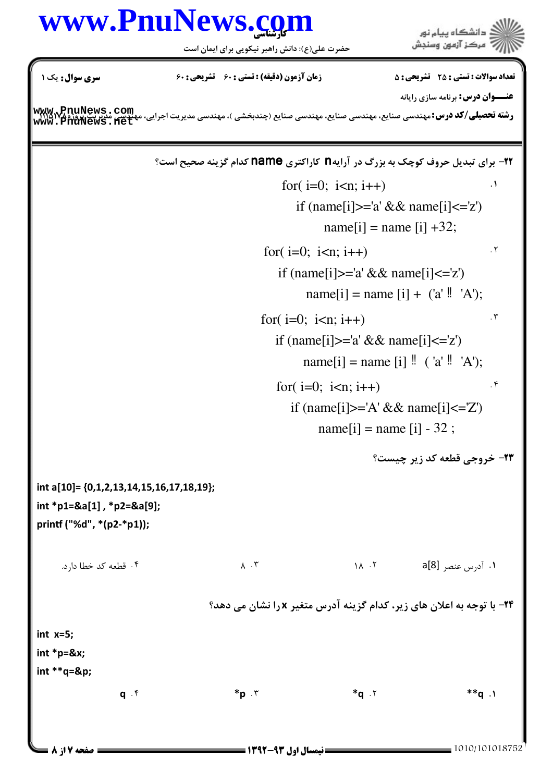